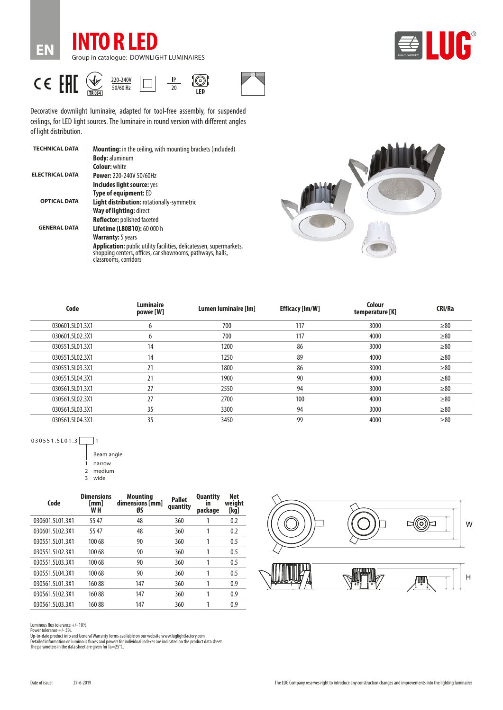



CE EHI 220-240V  $50/60$  Hz

**EN**



101

 $\overline{150}$ 



Decorative downlight luminaire, adapted for tool-free assembly, for suspended ceilings, for LED light sources. The luminaire in round version with different angles of light distribution.

| <b>TECHNICAL DATA</b>  | <b>Mounting:</b> in the ceiling, with mounting brackets (included)                                                                                         |
|------------------------|------------------------------------------------------------------------------------------------------------------------------------------------------------|
|                        | <b>Body: aluminum</b>                                                                                                                                      |
|                        | <b>Colour: white</b>                                                                                                                                       |
| <b>ELECTRICAL DATA</b> | <b>Power: 220-240V 50/60Hz</b>                                                                                                                             |
|                        | Includes light source: yes                                                                                                                                 |
|                        | <b>Type of equipment: ED</b>                                                                                                                               |
| <b>OPTICAL DATA</b>    | <b>Light distribution: rotationally-symmetric</b>                                                                                                          |
|                        | Way of lighting: direct                                                                                                                                    |
|                        | <b>Reflector:</b> polished faceted                                                                                                                         |
| <b>GENERAL DATA</b>    | Lifetime (L80B10): 60 000 h                                                                                                                                |
|                        | <b>Warranty:</b> 5 years                                                                                                                                   |
|                        | Application: public utility facilities, delicatessen, supermarkets,<br>shopping centers, offices, car showrooms, pathways, halls,<br>classrooms, corridors |
|                        |                                                                                                                                                            |



| <b>Luminaire</b><br>Code<br>power [W] |      | Efficacy [lm/W]<br>Lumen luminaire [lm] |      | CRI/Ra                    |
|---------------------------------------|------|-----------------------------------------|------|---------------------------|
| 6                                     | 700  | 117                                     | 3000 | $\geq 80$                 |
| 6                                     | 700  | 117                                     | 4000 | $\geq 80$                 |
| 14                                    | 1200 | 86                                      | 3000 | $\geq 80$                 |
| 14                                    | 1250 | 89                                      | 4000 | $\geq 80$                 |
| 21                                    | 1800 | 86                                      | 3000 | $\geq 80$                 |
| 21                                    | 1900 | 90                                      | 4000 | $\geq 80$                 |
| 27                                    | 2550 | 94                                      | 3000 | $\geq 80$                 |
| 27                                    | 2700 | 100                                     | 4000 | $\geq 80$                 |
| 35                                    | 3300 | 94                                      | 3000 | $\geq 80$                 |
| 35                                    | 3450 | 99                                      | 4000 | $\geq 80$                 |
|                                       |      |                                         |      | Colour<br>temperature [K] |

030551.5L01.3

Beam angle 1 narrow 2 medium wide

**Code Dimensions [mm] W H Mounting dimensions [mm] ØS Pallet quantity Quantity in package Net weight [kg]** 030601.5L01.3X1 55 47 48 360 1 0.2 030601.5L02.3X1 55 47 48 360 1 0.2 030551.5L01.3X1 100 68 90 360 1 0.5 030551.5L02.3X1 100 68 90 360 1 0.5 030551.5L03.3X1 100 68 90 360 1 0.5 030551.5L04.3X1 100 68 90 360 1 0.5 030561.5L01.3X1 160 88 147 360 1 0.9 030561.5L02.3X1 160 88 147 360 1 0.9 030561.5L03.3X1 160 88 147 360 1 0.9



Luminous flux tolerance +/- 10%.

Power tolerance +/- 5%.

Up-to-date product info and General Warranty Terms available on our website www.luglightfactory.com<br>Detailed information on luminous fluxes and powers for individual indexes are indicated on the product data sheet.<br>The par